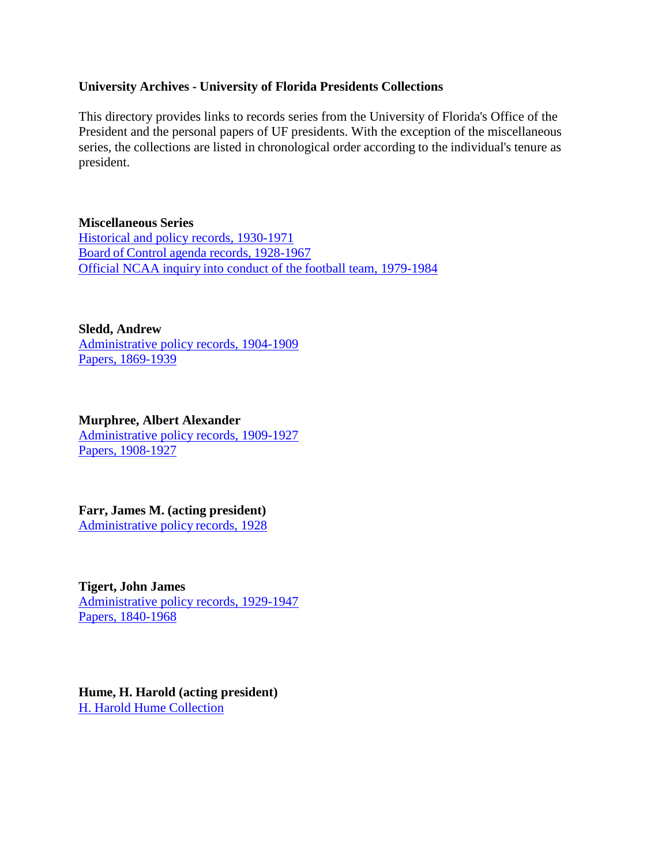### **University Archives - University of Florida Presidents Collections**

This directory provides links to records series from the University of Florida's Office of the President and the personal papers of UF presidents. With the exception of the miscellaneous series, the collections are listed in chronological order according to the individual's tenure as president.

**Miscellaneous Series** [Historical and policy records, 1930-1971](https://findingaids.uflib.ufl.edu/repositories/2/resources/1039) Board of Control agenda records, [1928-1967](https://findingaids.uflib.ufl.edu/repositories/2/resources/1040) Official NCAA inquiry into conduct of the [football team,](https://findingaids.uflib.ufl.edu/repositories/2/resources/1058) 1979-1984

#### **Sledd, Andrew**

[Administrative policy records, 1904-1909](https://findingaids.uflib.ufl.edu/repositories/2/resources/1041) Papers, [1869-1939](https://findingaids.uflib.ufl.edu/repositories/2/resources/783)

**Murphree, Albert Alexander**

[Administrative policy records, 1909-1927](https://findingaids.uflib.ufl.edu/repositories/2/resources/1459) Papers, [1908-1927](https://findingaids.uflib.ufl.edu/repositories/2/resources/784)

# **Farr, James M. (acting president)**

[Administrative](https://findingaids.uflib.ufl.edu/repositories/2/resources/1043) policy records, 1928

**Tigert, John James** [Administrative policy records, 1929-1947](https://findingaids.uflib.ufl.edu/repositories/2/resources/1044) Papers, [1840-1968](https://findingaids.uflib.ufl.edu/repositories/2/resources/782)

**Hume, H. Harold (acting president)** H. Harold Hume [Collection](https://findingaids.uflib.ufl.edu/repositories/2/resources/1238)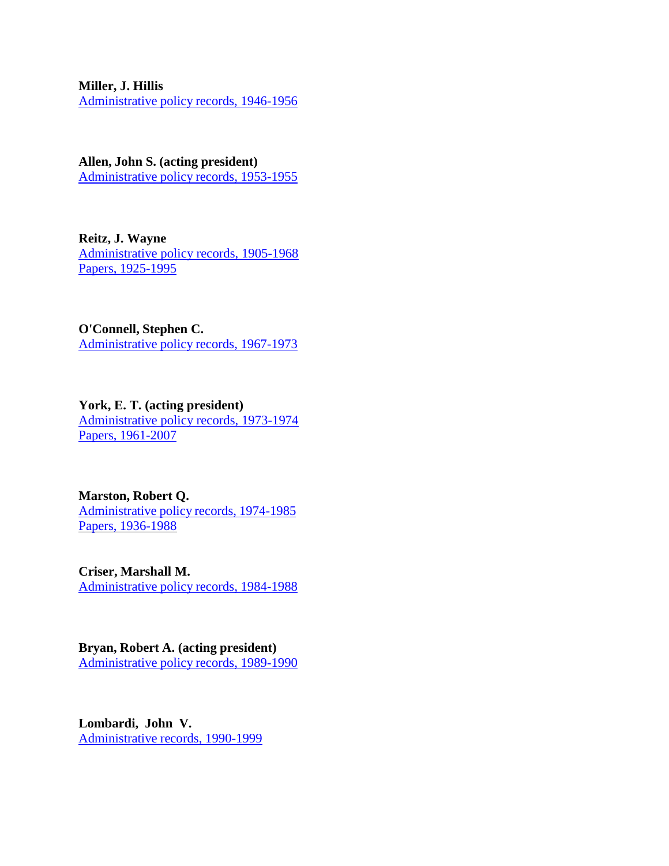#### **Miller, J. Hillis**

[Administrative](https://findingaids.uflib.ufl.edu/repositories/2/resources/1052) policy records, 1946-1956

**Allen, John S. (acting president)** [Administrative](https://findingaids.uflib.ufl.edu/repositories/2/resources/1053) policy records, 1953-1955

**Reitz, J. Wayne** [Administrative policy records, 1905-1968](https://findingaids.uflib.ufl.edu/repositories/2/resources/1062) Papers, [1925-1995](https://findingaids.uflib.ufl.edu/repositories/2/resources/785)

**O'Connell, Stephen C.** [Administrative](https://findingaids.uflib.ufl.edu/repositories/2/resources/1054) policy records, 1967-1973

**York, E. T. (acting president)** [Administrative policy records, 1973-1974](https://findingaids.uflib.ufl.edu/repositories/2/resources/1056) Papers, [1961-2007](https://findingaids.uflib.ufl.edu/repositories/2/resources/786)

**Marston, Robert Q.** [Administrative](https://findingaids.uflib.ufl.edu/repositories/2/resources/1461) policy records, 1974-1985 Papers, [1936-1988](https://findingaids.uflib.ufl.edu/repositories/2/resources/1747)

**Criser, Marshall M.** [Administrative](https://findingaids.uflib.ufl.edu/repositories/2/resources/1057) policy records, 1984-1988

**Bryan, Robert A. (acting president)** [Administrative](https://findingaids.uflib.ufl.edu/repositories/2/resources/1059) policy records, 1989-1990

**Lombardi, John V.** [Administrative](https://findingaids.uflib.ufl.edu/repositories/2/resources/1060) records, 1990-1999